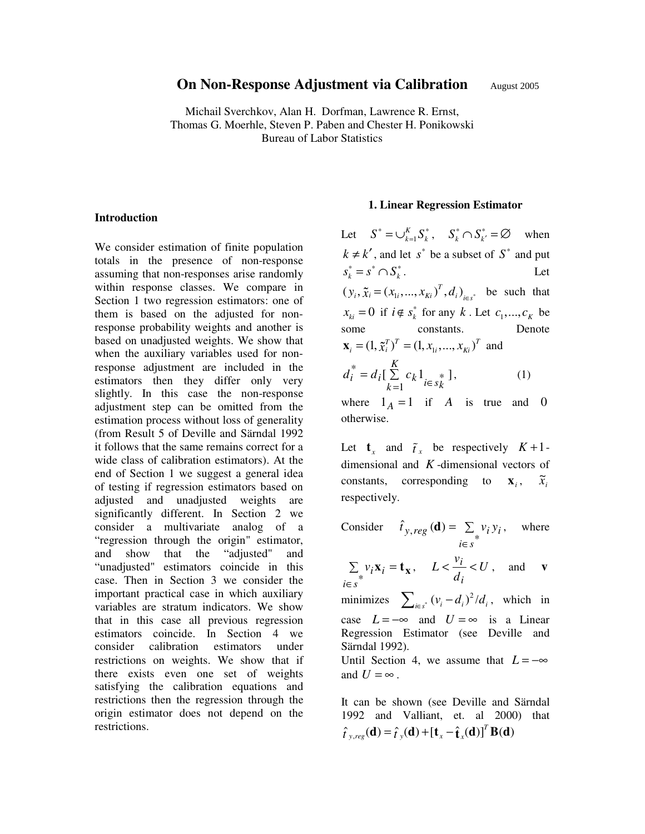# **On Non-Response Adjustment via Calibration** August 2005

Michail Sverchkov, Alan H. Dorfman, Lawrence R. Ernst, Thomas G. Moerhle, Steven P. Paben and Chester H. Ponikowski Bureau of Labor Statistics

#### **Introduction**

We consider estimation of finite population totals in the presence of non-response assuming that non-responses arise randomly within response classes. We compare in Section 1 two regression estimators: one of them is based on the adjusted for nonresponse probability weights and another is based on unadjusted weights. We show that when the auxiliary variables used for nonresponse adjustment are included in the estimators then they differ only very slightly. In this case the non-response adjustment step can be omitted from the estimation process without loss of generality (from Result 5 of Deville and Särndal 1992 it follows that the same remains correct for a wide class of calibration estimators). At the end of Section 1 we suggest a general idea of testing if regression estimators based on adjusted and unadjusted weights are significantly different. In Section 2 we consider a multivariate analog of a "regression through the origin" estimator, and show that the "adjusted" and "unadjusted" estimators coincide in this case. Then in Section 3 we consider the important practical case in which auxiliary variables are stratum indicators. We show that in this case all previous regression estimators coincide. In Section 4 we consider calibration estimators under restrictions on weights. We show that if there exists even one set of weights satisfying the calibration equations and restrictions then the regression through the origin estimator does not depend on the restrictions.

#### **1. Linear Regression Estimator**

Let  $S^* = \bigcup_{k=1}^K S_k^*$ ,  $S_k^* \cap S_{k'}^* = \emptyset$  when  $k \neq k'$ , and let *s*<sup>\*</sup> be a subset of *S*<sup>\*</sup> and put  $s_k^* = s^* \cap S_k^*$ . Let  $(y_i, \tilde{x}_i = (x_{1i}, ..., x_{Ki})^T, d_i)_{i \in s^*}$  $\tilde{x}_i = (x_{1i}, ..., x_{Ki})^t, d_i)_{i \in s^*}$  be such that<br>  $\vdots 0$  if  $i \notin s^*_k$  for any k. Let  $c_1, ..., c_K$  be<br>  $\vdots$  constants. Denote<br>  $(1, \tilde{x}_i^T)^T = (1, x_{1i}, ..., x_{Ki})^T$  and<br>  $K = d \cdot K$   $(1, 1, ..., K)$  $x_{ki} = 0$  if  $i \notin s_k^*$  for any *k*. Let  $c_1, ..., c_K$  be some constants. Denote  $\mathbf{x}_{i} = (1, \tilde{x}_{i}^{T})^{T} = (1, x_{1i}, ..., x_{ki})^{T}$  and  $\tilde{x}_i^T \tilde{y}_i^T = (1, x_{1i}, ..., x_{Ki})^T$  and<br>  $\begin{cases} \sum_{k=1}^K c_k 1_{i \in s_k^*} \\ 1_A = 1 \text{ if } A \text{ is true} \\ e. \end{cases}$  $\int_{i}^{*} = d_i \left[ \sum_{k=1}^{K} c_k \right]_{i \in s_k^{*}}$  $k^1$ <sub>*i* $\in$  *s*<sup>\*</sup> $k$ </sup></sub> *K k*  $d_i^{\dagger} = d_i \left[ \sum c_i \right]$  $= d_i \left[ \sum_{k=1}^{\infty} c_k 1_{i \in s_k^*} \right],$  (1)

where  $1_A = 1$  if *A* is true and 0 otherwise.

Let  $\mathbf{t}_x$  and  $\tilde{t}_x$  be respectively  $K+1$ -<br>dimensional and  $K$ -dimensional vectors of<br>constants, corresponding to  $\mathbf{x}_i$ ,  $\tilde{x}_i$ <br>respectively. dimensional and *K* -dimensional vectors of constants, corresponding to  $\mathbf{x}_i$ ,  $\widetilde{x}_{i}$ respectively.

Consider 
$$
\hat{t}_{y,reg}(\mathbf{d}) = \sum_{i \in s} v_i y_i
$$
, where  
\n
$$
\sum_{i \in s} v_i \mathbf{x}_i = \mathbf{t}_{\mathbf{x}}, \quad L < \frac{v_i}{d_i} < U
$$
, and **v**  
\n
$$
\sum_{i \in s} (v_i - d_i)^2 / d_i
$$
, which in  
\ncase  $L = -\infty$  and  $U = \infty$  is a Linear  
\nRegression Estimator (see Deville and  
\nSärndal 1992).  
\nUntil Section 4, we assume that  $L = -\infty$   
\nand  $U = \infty$ .

It can be shown (see Deville and Särndal 1992 and Valliant, et. al 2000) that  $\hat{t}_{y, reg}(\mathbf{d}) = \hat{t}_{y}(\mathbf{d}) + [\mathbf{t}_{x} - \hat{\mathbf{t}}_{x}(\mathbf{d})]^T \mathbf{B}(\mathbf{d})$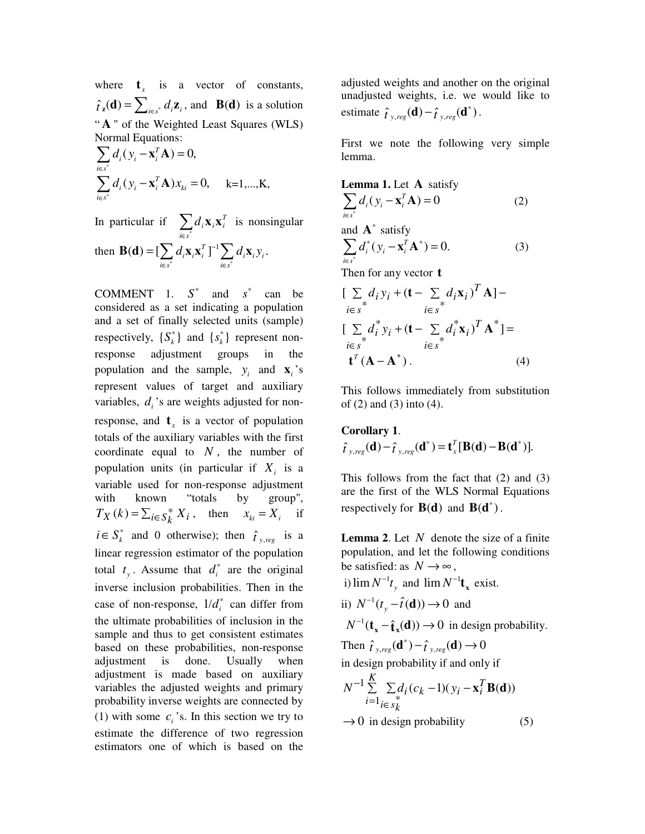where  $t<sub>r</sub>$  is a vector of constants,  $\hat{t}_i(\mathbf{d}) = \sum_{i \in s^*} d_i \mathbf{z}_i$ , and  $\mathbf{B}(\mathbf{d})$  is a solution " **A** " of the Weighted Least Squares (WLS) Normal Equations:

$$
\sum_{i \in s^*} d_i (y_i - \mathbf{x}_i^T \mathbf{A}) = 0,
$$
  

$$
\sum_{i \in s^*} d_i (y_i - \mathbf{x}_i^T \mathbf{A}) x_{ki} = 0, \quad k = 1,...,K,
$$

In particular if  $\sum d_i \mathbf{x}_i \mathbf{x}_i^T$ *i∈s*  $\sum d_i \mathbf{x}_i \mathbf{x}$ ∈ \* is nonsingular then  $\mathbf{B}(\mathbf{d}) = [\sum d_i \mathbf{x}_i \mathbf{x}_i^T]^{-1} \sum d_i \mathbf{x}_i y_i$  $i \in s^*$   $i \in s$  $\int_{\mathbb{R}} d_i \mathbf{x}_i \mathbf{x}_i^T \, \mathbf{I}^{-1} \sum_{i \in \mathbb{Z}} d_i \mathbf{x}_i \mathbf{y}$ −  $\in$  s<sup>\*</sup> i $\in$  $\mathbf{B}(\mathbf{d}) = [\sum d_i \mathbf{x}_i \mathbf{x}_i^T]^{-1} \sum d_i \mathbf{x}_i y_i.$ 

COMMENT 1.  $S^*$  and  $S^*$  can be considered as a set indicating a population and a set of finally selected units (sample) respectively,  ${S_k^*}$  and  ${s_k^*}$  represent nonresponse adjustment groups in the population and the sample,  $y_i$  and  $\mathbf{x}_i$ 's represent values of target and auxiliary variables,  $d_i$ 's are weights adjusted for nonresponse, and  $\mathbf{t}_x$  is a vector of population totals of the auxiliary variables with the first coordinate equal to *N* , the number of population units (in particular if  $X_i$  is a variable used for non-response adjustment with known "totals by group",  $T_X(k) = \sum_{i \in S_k^*} X_i$ , then  $x_{ki} = X_i$  if  $i \in S_k^*$  and 0 otherwise); then  $\hat{t}_{y,reg}$  is a linear regression estimator of the population total  $t_y$ . Assume that  $d_i^*$  are the original inverse inclusion probabilities. Then in the case of non-response,  $1/d_i^*$  can differ from the ultimate probabilities of inclusion in the sample and thus to get consistent estimates based on these probabilities, non-response adjustment is done. Usually when adjustment is made based on auxiliary variables the adjusted weights and primary probability inverse weights are connected by (1) with some  $c_i$ 's. In this section we try to estimate the difference of two regression estimators one of which is based on the

adjusted weights and another on the original unadjusted weights, i.e. we would like to estimate  $\hat{t}_{y, reg}(\mathbf{d}) - \hat{t}_{y, reg}(\mathbf{d}^*).$ 

First we note the following very simple lemma.

**Lemma 1.** Let **A** satisfy  
\n
$$
\sum_{i \in s^*} d_i(y_i - \mathbf{x}_i^T \mathbf{A}) = 0
$$
\nand **A**<sup>\*</sup> satisfy  
\n
$$
\sum_{i \in s^*} d_i^*(y_i - \mathbf{x}_i^T \mathbf{A}^*) = 0.
$$
\n(3)  
\nThen for any vector **t**  
\n
$$
\left[ \sum_{i \in s} d_i y_i + (\mathbf{t} - \sum_{i \in s} d_i x_i)^T \mathbf{A} \right] -
$$
\n
$$
\left[ \sum_{i \in s} d_i^* y_i + (\mathbf{t} - \sum_{i \in s} d_i^* x_i)^T \mathbf{A}^* \right] =
$$
\n
$$
i \in s
$$

This follows immediately from substitution of (2) and (3) into (4).

 ${\bf t}^T({\bf A}-{\bf A}^*)$ . (4)

# **Corollary 1**.  $\hat{t}_{y,reg}(\mathbf{d}) - \hat{t}_{y,reg}(\mathbf{d}^*) = \mathbf{t}_x^T[\mathbf{B}(\mathbf{d}) - \mathbf{B}(\mathbf{d}^*)].$

This follows from the fact that (2) and (3) are the first of the WLS Normal Equations respectively for  $B(d)$  and  $B(d^* )$ .

**Lemma 2**. Let *N* denote the size of a finite population, and let the following conditions be satisfied: as  $N \rightarrow \infty$ ,

i)  $\lim_{M \to \infty} N^{-1}t_y$  and  $\lim_{M \to \infty} N^{-1}t_x$  exist.

ii)  $N^{-1}(t_y - \hat{t}(\mathbf{d})) \rightarrow 0$  and

 $N^{-1}$  (**t**<sub>x</sub>  $-\hat{\mathbf{t}}$ <sub>x</sub>(**d**))  $\rightarrow$  0 in design probability.

Then  $\hat{t}_{y,reg}(\mathbf{d}^*) - \hat{t}_{y,reg}(\mathbf{d}) \to 0$ 

in design probability if and only if

$$
N^{-1} \sum_{i=1}^{K} \sum_{i \in s_k^*} d_i (c_k - 1)(y_i - \mathbf{x}_i^T \mathbf{B}(\mathbf{d}))
$$

 $\rightarrow$  0 in design probability (5)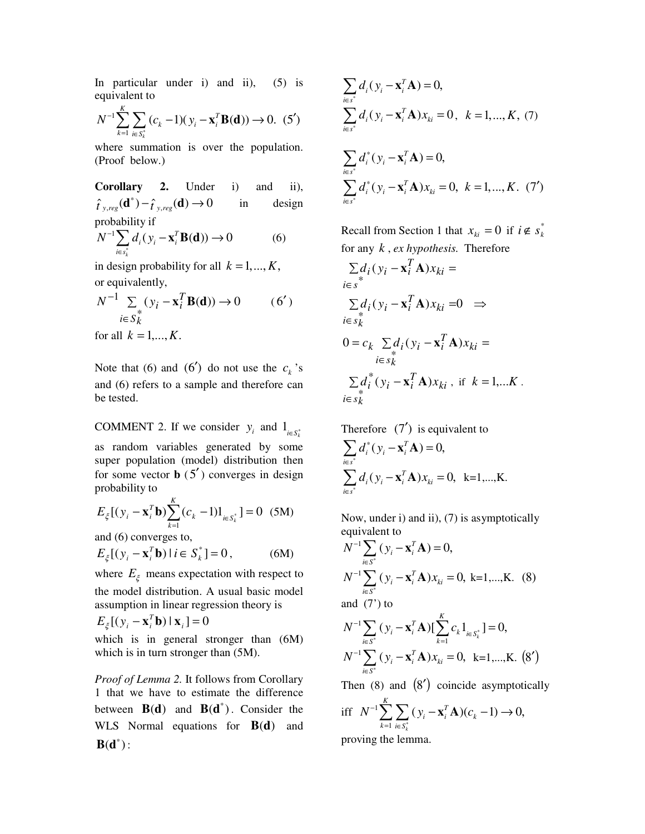In particular under i) and ii),  $(5)$  is equivalent to

$$
N^{-1} \sum_{k=1}^{K} \sum_{i \in S_k^*} (c_k - 1)(y_i - \mathbf{x}_i^T \mathbf{B}(\mathbf{d})) \to 0. (5')
$$

where summation is over the population. (Proof below.)

**Corollary 2.** Under i) and ii),  $\hat{t}_{y,reg}(\mathbf{d}^*) - \hat{t}_{y,reg}(\mathbf{d}) \to 0$  in design probability if  $^{1}\sum d_{i}( y_{i} - \mathbf{x}_{i}^{T} \mathbf{B}(\mathbf{d})) \rightarrow 0$ *T*  $i \vee i$   $\mathbf{A}_i$  $N^{-1} \sum_{i \in S^*} d_i(y)$ −  $\sum d_i(y_i - \mathbf{x}_i^T \mathbf{B}(\mathbf{d})) \rightarrow 0$  (6)

*k* in design probability for all  $k = 1, ..., K$ , or equivalently,

*i s*

∈

$$
N^{-1} \sum_{i \in S_k^*} (y_i - \mathbf{x}_i^T \mathbf{B}(\mathbf{d})) \to 0 \qquad (6')
$$
  
for all  $k = 1,..., K$ .

Note that (6) and (6') do not use the  $c_k$ 's and (6) refers to a sample and therefore can be tested.

COMMENT 2. If we consider  $y_i$  and  $1_{i \in S_i^*}$ as random variables generated by some super population (model) distribution then for some vector  $\mathbf{b}$  (5<sup>'</sup>) converges in design probability to

$$
E_{\xi}[(y_i - \mathbf{x}_i^T \mathbf{b}) \sum_{k=1}^K (c_k - 1) \mathbf{1}_{i \in S_k^*}] = 0 \quad (5M)
$$

and (6) converges to,

$$
E_{\xi}[(y_i - \mathbf{x}_i^T \mathbf{b}) | i \in S_k^*] = 0, \tag{6M}
$$

where  $E_{\xi}$  means expectation with respect to the model distribution. A usual basic model assumption in linear regression theory is

$$
E_{\xi}[(y_i - \mathbf{x}_i^T \mathbf{b}) | \mathbf{x}_i] = 0
$$

which is in general stronger than  $(6M)$ which is in turn stronger than  $(5M)$ .

*Proof of Lemma 2.* It follows from Corollary 1 that we have to estimate the difference between  $B(d)$  and  $B(d^*)$ . Consider the WLS Normal equations for  $B(d)$  and  $B(d^*)$  :

$$
\sum_{i \in s^*} d_i (y_i - \mathbf{x}_i^T \mathbf{A}) = 0,
$$
\n
$$
\sum_{i \in s^*} d_i (y_i - \mathbf{x}_i^T \mathbf{A}) x_{ki} = 0, \quad k = 1, ..., K, (7)
$$
\n
$$
\sum_{i \in s^*} d_i^* (y_i - \mathbf{x}_i^T \mathbf{A}) = 0,
$$
\n
$$
\sum_{i \in s^*} d_i^* (y_i - \mathbf{x}_i^T \mathbf{A}) x_{ki} = 0, \quad k = 1, ..., K. (7')
$$

Recall from Section 1 that  $x_{ki} = 0$  if  $i \notin s_k^*$ for any *k* , *ex hypothesis.* Therefore

$$
\sum_{i \in s} d_i (y_i - \mathbf{x}_i^T \mathbf{A}) x_{ki} =
$$
\n
$$
\sum_{i \in s} d_i (y_i - \mathbf{x}_i^T \mathbf{A}) x_{ki} = 0 \implies
$$
\n
$$
0 = c_k \sum_{i \in s_k^k} d_i (y_i - \mathbf{x}_i^T \mathbf{A}) x_{ki} =
$$
\n
$$
\sum_{i \in s_k^k} d_i^* (y_i - \mathbf{x}_i^T \mathbf{A}) x_{ki}, \text{ if } k = 1, \dots K.
$$

Therefore  $(7')$  is equivalent to  $\mathbf{x}_{i}^{*}(\mathbf{y}_{i} - \mathbf{x}_{i}^{T}\mathbf{A}) = 0$ *i s*  $\int_a^{\infty} d_i^*(y)$ ∗ ∈  $\sum d_i^*(y_i - \mathbf{x}_i^T \mathbf{A}) = 0,$  $\mathbf{x}_i (\mathbf{y}_i - \mathbf{x}_i^T \mathbf{A}) \mathbf{x}_{ki} = 0$ *i s*  $d_i(y_i - \mathbf{x}_i^T \mathbf{A})x$ <sup>∗</sup> ∈  $\sum d_i(y_i - \mathbf{x}_i^T \mathbf{A}) x_{ki} = 0$ , k=1,...,K.

Now, under i) and ii), (7) is asymptotically equivalent to

$$
N^{-1} \sum_{i \in S^*} (y_i - \mathbf{x}_i^T \mathbf{A}) = 0,
$$
  
\n
$$
N^{-1} \sum_{i \in S^*} (y_i - \mathbf{x}_i^T \mathbf{A}) x_{ki} = 0, \text{ k=1,...,K. (8)}
$$
  
\nand (7') to

and  $(7')$  to

$$
N^{-1} \sum_{i \in S^*} (y_i - \mathbf{x}_i^T \mathbf{A}) \left[ \sum_{k=1}^K c_k \mathbf{1}_{i \in S_k^*} \right] = 0,
$$
  

$$
N^{-1} \sum_{i \in S^*} (y_i - \mathbf{x}_i^T \mathbf{A}) x_{ki} = 0, \quad k = 1, ..., K. \quad (8')
$$

Then  $(8)$  and  $(8')$  coincide asymptotically

$$
\begin{aligned} \text{iff} \quad & N^{-1} \sum_{k=1}^{K} \sum_{i \in S_k^{\dagger}} (y_i - \mathbf{x}_i^T \mathbf{A})(c_k - 1) \to 0, \\ \text{approximate the lemma.} \end{aligned}
$$

proving the lemma.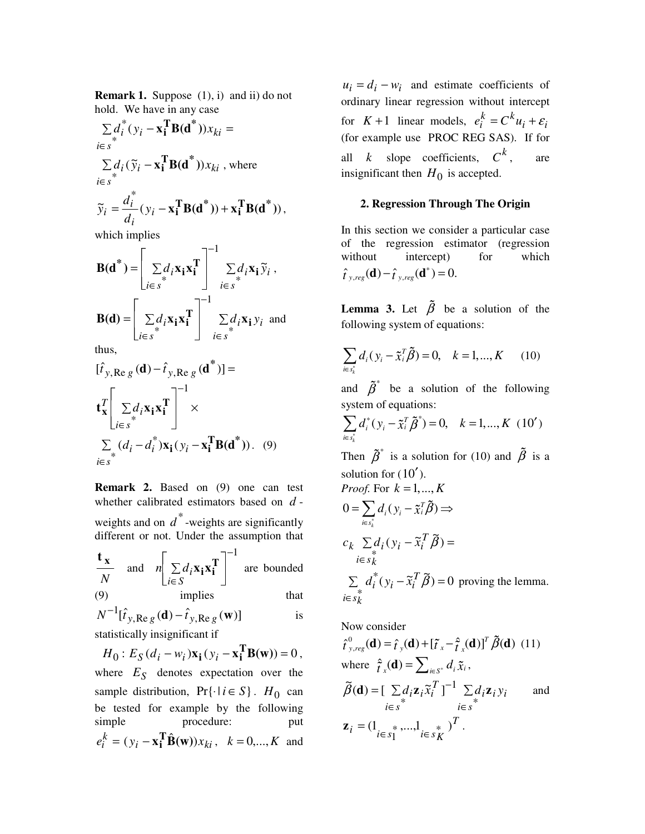**Remark 1.** Suppose  $(1)$ , i) and ii) do not hold. We have in any case

$$
\sum_{i \in s} d_i^*(y_i - \mathbf{x}_i^T \mathbf{B}(\mathbf{d}^*))x_{ki} =
$$
  
\n
$$
\sum_{i \in s} d_i (\widetilde{y}_i - \mathbf{x}_i^T \mathbf{B}(\mathbf{d}^*))x_{ki}, \text{ where}
$$
  
\n
$$
i \in s^*
$$
  
\n
$$
\widetilde{d}_i^*(y_i - \mathbf{x}_i^T \mathbf{B}(\mathbf{d}^*))x_i^T \mathbf{B}(\mathbf{d}^*)
$$

$$
\widetilde{y}_i = \frac{d_i^*}{d_i} (y_i - \mathbf{x}_i^{\mathrm{T}} \mathbf{B}(\mathbf{d}^*)) + \mathbf{x}_i^{\mathrm{T}} \mathbf{B}(\mathbf{d}^*))
$$

which implies

$$
\mathbf{B}(\mathbf{d}^*) = \begin{bmatrix} \sum d_i \mathbf{x}_i \mathbf{x}_i^T \\ \sum e_i^T \mathbf{x}_i \mathbf{x}_i \mathbf{x}_i^T \end{bmatrix}^{-1} \begin{bmatrix} 1 \\ \sum d_i \mathbf{x}_i \tilde{\mathbf{y}}_i \\ i \in s \end{bmatrix},
$$
\n
$$
\mathbf{B}(\mathbf{d}) = \begin{bmatrix} 1 \\ \sum d_i \mathbf{x}_i \mathbf{x}_i^T \end{bmatrix}^{-1} \begin{bmatrix} 1 \\ \sum d_i \mathbf{x}_i \mathbf{y}_i \end{bmatrix} \text{ and}
$$
\nthus

thus,

$$
[\hat{t}_{y, \text{Re } g}(\mathbf{d}) - \hat{t}_{y, \text{Re } g}(\mathbf{d}^*)] =
$$
  

$$
\mathbf{t}_{\mathbf{x}}^T \left[ \sum_{i \in s} d_i \mathbf{x}_i \mathbf{x}_i^T \right]^{-1} \times
$$
  

$$
\sum_{i \in s} (d_i - d_i^*) \mathbf{x}_i (y_i - \mathbf{x}_i^T \mathbf{B}(\mathbf{d}^*)) . (9)
$$

**Remark 2.** Based on (9) one can test whether calibrated estimators based on *d* weights and on  $\overrightarrow{d}^*$ -weights are significantly different or not. Under the assumption that

$$
\frac{\mathbf{t}_{\mathbf{x}}}{N} \text{ and } n\left[\sum_{i \in S} d_i \mathbf{x}_i \mathbf{x}_i^T\right]^{-1} \text{ are bounded} \n(9) \text{ implies} \text{ that}
$$

$$
(9)
$$

$$
N^{-1}[\hat{t}_{y,\text{Re }g}(\mathbf{d}) - \hat{t}_{y,\text{Re }g}(\mathbf{w})]
$$
 is  
statistically injection if

statistically insignificant if

 $H_0: E_S(d_i - w_i) \mathbf{x_i} (y_i - \mathbf{x_i^T} \mathbf{B}(\mathbf{w})) = 0,$ where  $E<sub>S</sub>$  denotes expectation over the sample distribution,  $Pr\{\cdot | i \in S\}$ . *H*<sub>0</sub> can be tested for example by the following simple procedure: put  $e_i^k = (y_i - \mathbf{x_i^T} \hat{\mathbf{B}}(\mathbf{w})) x_{ki}, \quad k = 0, ..., K$  and

 $u_i = d_i - w_i$  and estimate coefficients of ordinary linear regression without intercept for  $K+1$  linear models,  $e_i^k = C^k u_i + \varepsilon_i$ (for example use PROC REG SAS). If for all *k* slope coefficients,  $C^k$ , are insignificant then  $H_0$  is accepted.

### **2. Regression Through The Origin**

In this section we consider a particular case of the regression estimator (regression without intercept) for which  $\hat{t}_{y,reg}(\mathbf{d}) - \hat{t}_{y,reg}(\mathbf{d}^*) = 0.$ 

following system of equations:

**Lemma 3.** Let 
$$
\beta
$$
 be a solution of the  
following system of equations:  

$$
\sum_{i \in s_k^*} d_i (y_i - \tilde{x}_i^T \tilde{\beta}) = 0, \quad k = 1,...,K
$$
 (10)

 $\tilde{x}_i^T \beta$  = 0,  $k = 1, ..., K$  (10)<br>
e a solution of the followin<br>
quations:<br>  $\tilde{x}_i^T \tilde{\beta}^*$  = 0,  $k = 1, ..., K$  (10') and  $\tilde{\beta}^*$ system of equations:

and 
$$
\beta
$$
 be a solution of the following  
system of equations:  

$$
\sum_{i \in s_k^*} d_i^*(y_i - \tilde{x}_i^T \tilde{\beta}^*) = 0, \quad k = 1, ..., K \text{ (10')}
$$
  
Then  $\tilde{\beta}^*$  is a solution for (10) and  $\tilde{\beta}$  is a

 $(\tilde{x}_i^T \tilde{\beta}^*) = 0, \quad k = 1, ..., K \text{ (10')},$ <br>a solution for (10) and  $\tilde{\beta}$  is <br>(10').<br> $k = 1, ..., K$ solution for  $(10')$ .

Then 
$$
\tilde{\beta}^*
$$
 is a solution for (10) and  $\tilde{\beta}$  is a solution for (10').  
\n*Proof.* For  $k = 1, ..., K$   
\n
$$
0 = \sum_{i \in s_k^*} d_i (y_i - \tilde{x}_i^T \tilde{\beta}) \Rightarrow
$$
\n
$$
c_k \sum_{i \in s_k^*} d_i (y_i - \tilde{x}_i^T \tilde{\beta}) =
$$
\n
$$
\sum_{i \in s_k^*} d_i^*(y_i - \tilde{x}_i^T \tilde{\beta}) = 0 \text{ proving the lemma.}
$$
\n
$$
i \in s_k
$$

Now consider

$$
\hat{t}_{y,reg}^{0}(\mathbf{d}) = \hat{t}_y(\mathbf{d}) + [\tilde{t}_x - \hat{t}_x(\mathbf{d})]^T \tilde{\beta}(\mathbf{d}) \quad (11)
$$
\nwhere 
$$
\hat{t}_x(\mathbf{d}) = \sum_{i \in S^*} d_i \tilde{x}_i,
$$
\n
$$
\tilde{\beta}(\mathbf{d}) = [\sum_{i \in S} d_i \mathbf{z}_i \tilde{x}_i^T]^{-1} \sum_{i \in S} d_i \mathbf{z}_i y_i \quad \text{and}
$$
\n
$$
\mathbf{z}_i = (1_{i \in S_1^*}, ..., 1_{i \in S_K^*})^T.
$$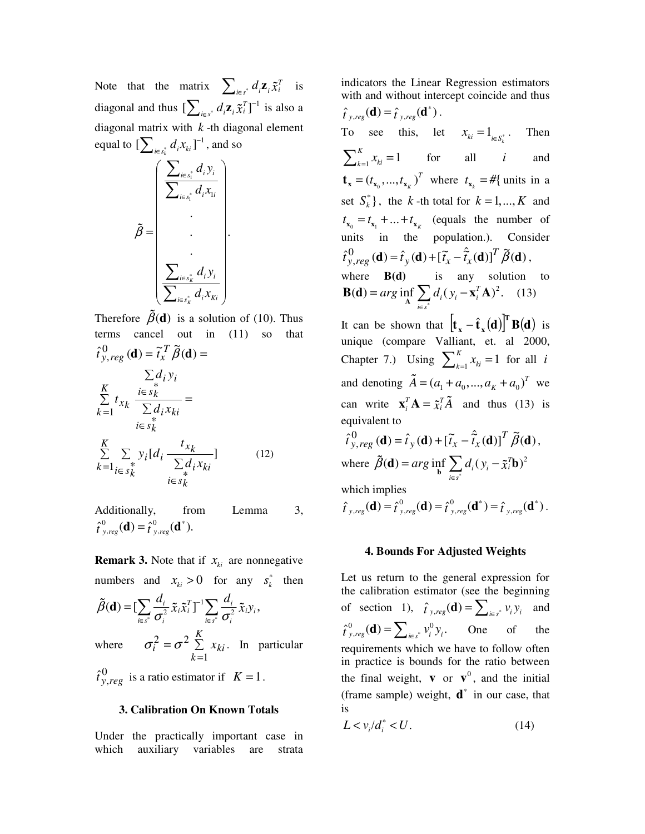Note that the matrix  $\sum_{i \in s^*} d_i \mathbf{z}_i \tilde{\mathbf{x}}_i^T$  $\tilde{x}_i^T$  is also a<br>lement diagonal and thus  $\left[\sum_{i \in s^*} d_i \mathbf{z}_i \tilde{x}_i^T\right]^{-1}$  is also a<br>diagonal matrix with k -th diagonal element<br>equal to  $\left[\sum_{i \in s^*_{k}} d_i x_{ki}\right]^{-1}$ , and so<br> $\left(\sum_{i \in s^*_{i}} d_i y_i\right)$ diagonal matrix with *k* -th diagonal element equal to  $\left[\sum_{i \in s_k^*} d_i x_{ki}\right]^{-1}$ , and so

$$
\tilde{\beta} = \begin{bmatrix}\n\sum_{i \in s_1^*} d_i y_i \\
\sum_{i \in s_1^*} d_i x_{1i} \\
\vdots \\
\sum_{i \in s_k^*} d_i y_i \\
\sum_{i \in s_k^*} d_i x_{ki}\n\end{bmatrix}.
$$

Therefore  $\beta$ (**d**) is a solution of (10). Thus<br>terms cancel out in (11) so that<br> $\hat{t}_{y, reg}^0$  (**d**) =  $\tilde{t}_x^T \tilde{\beta}$  (**d**) =<br> $\sum_{i \in s_k} d_i y_i$ <br> $K = i \in s_k^*$ terms cancel out in (11) so that  $\hat{\tau}_{y, reg}^{0}(\mathbf{d}) = \tilde{\tau}_x^T \tilde{\beta}(\mathbf{d}) =$  $\sum_{i=1}^{L} t_{x_k} \frac{\sum_{k=1}^{L} g_k}{\sum_{k=1}^{L} d_i x_{ki}} =$ —<br>. . = *i*∈ *s*  $\dot{k}$  $\frac{K}{\sum}$  *i* $\in$  $k=1$   $\sum a_i x_{ki}$  $i \in s_k$ *i i*  $x_k \overline{\sum d_i x}$  $d_i y$ *t*  $\begin{array}{ccc} 1 & \begin{array}{c} 1 & \end{array} \\ \begin{array}{c} 1 & \end{array} \\ \begin{array}{c} i \in S_1 \\ \end{array} \end{array}$ \* *K kx t*

$$
\sum_{k=1}^{K} \sum_{\substack{i \in S_k^*}} y_i [d_i \frac{f_{x_k}}{\sum_{\substack{i \in S_k^*}} d_i x_{ki}}]
$$
(12)

Additionally, from Lemma 3,  $\hat{\tau}_{y,reg}^{0}(\mathbf{d}) = \hat{\tau}_{y,reg}^{0}(\mathbf{d}^{*}).$ 

**Remark 3.** Note that if  $x_{ki}$  are nonnegative numbers and  $x_{ki} > 0$  for any  $s_k^*$  then

$$
\tilde{\beta}(\mathbf{d}) = [\sum_{i \in s^*} \frac{d_i}{\sigma_i^2} \tilde{x}_i \tilde{x}_i^T]^{-1} \sum_{i \in s^*} \frac{d_i}{\sigma_i^2} \tilde{x}_i y_i,
$$
\nwhere  $\sigma_i^2 = \sigma^2 \sum_{k=1}^K x_{ki}$ . In particular\n
$$
\hat{t}_{y, reg}^0 \text{ is a ratio estimator if } K = 1.
$$

 $\hat{t}^0_{y,reg}$  is a ratio estimator if  $K = 1$ .

## **3. Calibration On Known Totals**

Under the practically important case in which auxiliary variables are strata

indicators the Linear Regression estimators with and without intercept coincide and thus  $\hat{t}_{y,reg}(\mathbf{d}) = \hat{t}_{y,reg}(\mathbf{d}^*).$ To see this, let  $x_{ki} = 1_{i \in S_i^*}$ . Then  $\sum_{k=1}^{K} x_{ki} = 1$  for all *i* and  $\mathbf{t}_{\mathbf{x}} = (t_{\mathbf{x}_0}, ..., t_{\mathbf{x}_k})^T$  where  $t_{\mathbf{x}_k} = \text{#}$  units in a set  $S_k^*$ , the *k* -th total for  $k = 1, ..., K$  and  $t_{\mathbf{x}_0} = t_{\mathbf{x}_1} + \dots + t_{\mathbf{x}_k}$  (equals the number of units in the population.). Consider  $\hat{t}^0_{y,reg}(\mathbf{d}) = \hat{t}_y(\mathbf{d}) + [\tilde{t}_x - \hat{\tilde{t}}_x(\mathbf{d})]^T \tilde{\beta}(\mathbf{d}),$ where **B(d)** is any solution to  $\Delta(\mathbf{d}) = arg \inf_{\mathbf{A}} \sum d_i (y_i - \mathbf{x}_i^T \mathbf{A})^2$ *i s*  $arg \inf \sum d_i(y)$ <sup>∗</sup> ∈ **B(d)** =  $arg \inf_{A} \sum_{i} d_i (y_i - \mathbf{x}_i^T A)^2$ . (13)

It can be shown that  $\left[ \mathbf{t}_{x} - \hat{\mathbf{t}}_{x} \right]^{T} \mathbf{B}(\mathbf{d})$  is unique (compare Valliant, et. al 2000, Chapter 7.) Using  $\sum_{k=1}^{K} x_{ki} = 1$  for all *i* and denoting  $\tilde{A} = (a_1 + a_0, ..., a_k + a_0)^T$  we  $A = (a_1 + a_0, ..., a_K + a_0)^T$  we<br>  $\mathbf{A} = \tilde{\chi}_i^T \tilde{A}$  and thus (13) is<br>  $\mathbf{v}_y(\mathbf{d}) + [\tilde{t}_x - \hat{t}_x(\mathbf{d})]^T \tilde{\beta}(\mathbf{d}),$ <br>  $\vdots$   $\mathbf{c} \sum_i \tilde{\mathbf{d}}_i (\mathbf{d})^T \tilde{\beta}(\mathbf{d}),$ equivalent to

can write 
$$
\mathbf{x}_i^T \mathbf{A} = \tilde{\mathbf{x}}_i^T \tilde{A}
$$
 and thus (13) is  
equivalent to  
 $\hat{t}_{y, reg}^0(\mathbf{d}) = \hat{t}_y(\mathbf{d}) + [\tilde{t}_x - \hat{t}_x(\mathbf{d})]^T \tilde{\boldsymbol{\beta}}(\mathbf{d}),$   
where  $\tilde{\boldsymbol{\beta}}(\mathbf{d}) = arg \inf_{\mathbf{b}} \sum_{i \in s^*} d_i (y_i - \tilde{x}_i^T \mathbf{b})^2$   
which implies  
 $\hat{t}_{y, reg}(\mathbf{d}) = \hat{t}_{y, reg}^0(\mathbf{d}) = \hat{t}_{y, reg}^0(\mathbf{d}^*) = \hat{t}_{y, reg}(\mathbf{d}^*).$ 

which implies

 $\hat{t}_{y,reg}(\mathbf{d}) = \hat{t}_{y,reg}^{0}(\mathbf{d}) = \hat{t}_{y,reg}^{0}(\mathbf{d}^{*}) = \hat{t}_{y,reg}(\mathbf{d}^{*}).$ 

## **4. Bounds For Adjusted Weights**

Let us return to the general expression for the calibration estimator (see the beginning of section 1),  $\hat{t}_{y, reg}(\mathbf{d}) = \sum_{i \in s^*} v_i y_i$  and  $\hat{\tau}_{y, reg}^0(\mathbf{d}) = \sum_{i \in s^*} v_i^0 y_i$ , One of the requirements which we have to follow often in practice is bounds for the ratio between the final weight, **v** or  $\mathbf{v}^0$ , and the initial (frame sample) weight,  $\mathbf{d}^*$  in our case, that is

$$
L < v_i / d_i^* < U. \tag{14}
$$